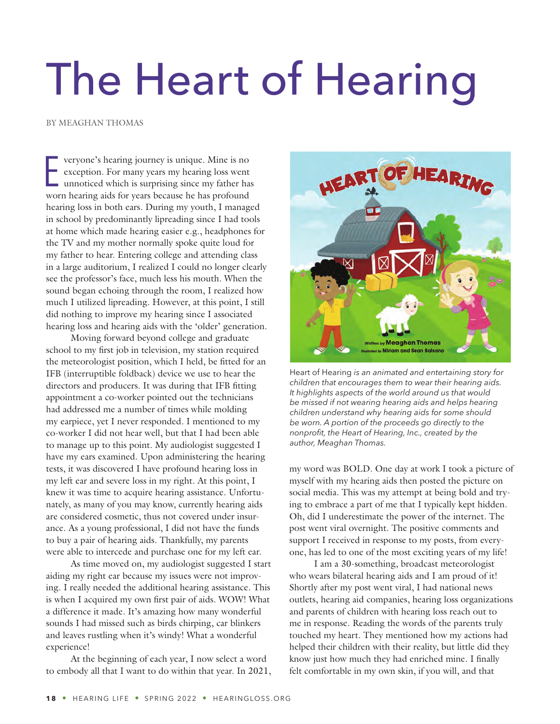## The Heart of Hearing

BY MEAGHAN THOMAS

**EXECUTE:** veryone's hearing journey is unique. Mine is no exception. For many years my hearing loss went unnoticed which is surprising since my father has worn hearing aids for years because he has profound veryone's hearing journey is unique. Mine is no exception. For many years my hearing loss went unnoticed which is surprising since my father has hearing loss in both ears. During my youth, I managed in school by predominantly lipreading since I had tools at home which made hearing easier e.g., headphones for the TV and my mother normally spoke quite loud for my father to hear. Entering college and attending class in a large auditorium, I realized I could no longer clearly see the professor's face, much less his mouth. When the sound began echoing through the room, I realized how much I utilized lipreading. However, at this point, I still did nothing to improve my hearing since I associated hearing loss and hearing aids with the 'older' generation.

Moving forward beyond college and graduate school to my first job in television, my station required the meteorologist position, which I held, be fitted for an IFB (interruptible foldback) device we use to hear the directors and producers. It was during that IFB fitting appointment a co-worker pointed out the technicians had addressed me a number of times while molding my earpiece, yet I never responded. I mentioned to my co-worker I did not hear well, but that I had been able to manage up to this point. My audiologist suggested I have my ears examined. Upon administering the hearing tests, it was discovered I have profound hearing loss in my left ear and severe loss in my right. At this point, I knew it was time to acquire hearing assistance. Unfortunately, as many of you may know, currently hearing aids are considered cosmetic, thus not covered under insurance. As a young professional, I did not have the funds to buy a pair of hearing aids. Thankfully, my parents were able to intercede and purchase one for my left ear.

As time moved on, my audiologist suggested I start aiding my right ear because my issues were not improving. I really needed the additional hearing assistance. This is when I acquired my own first pair of aids. WOW! What a difference it made. It's amazing how many wonderful sounds I had missed such as birds chirping, car blinkers and leaves rustling when it's windy! What a wonderful experience!

At the beginning of each year, I now select a word to embody all that I want to do within that year. In 2021,



Heart of Hearing *is an animated and entertaining story for children that encourages them to wear their hearing aids. It highlights aspects of the world around us that would be missed if not wearing hearing aids and helps hearing children understand why hearing aids for some should be worn. A portion of the proceeds go directly to the nonprofit, the Heart of Hearing, Inc., created by the author, Meaghan Thomas.*

my word was BOLD. One day at work I took a picture of myself with my hearing aids then posted the picture on social media. This was my attempt at being bold and trying to embrace a part of me that I typically kept hidden. Oh, did I underestimate the power of the internet. The post went viral overnight. The positive comments and support I received in response to my posts, from everyone, has led to one of the most exciting years of my life!

I am a 30-something, broadcast meteorologist who wears bilateral hearing aids and I am proud of it! Shortly after my post went viral, I had national news outlets, hearing aid companies, hearing loss organizations and parents of children with hearing loss reach out to me in response. Reading the words of the parents truly touched my heart. They mentioned how my actions had helped their children with their reality, but little did they know just how much they had enriched mine. I finally felt comfortable in my own skin, if you will, and that